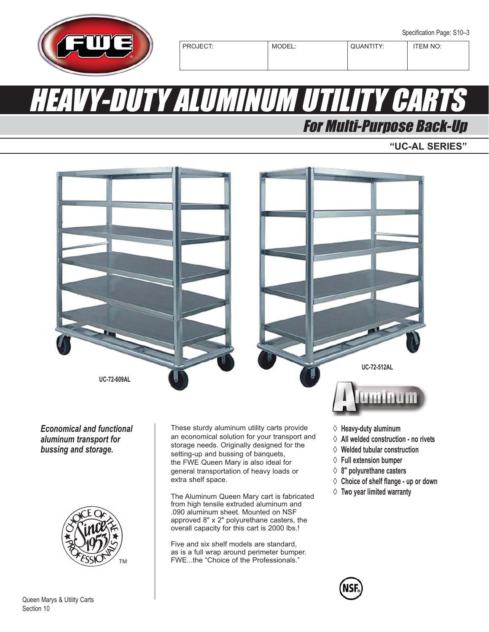

# HEAVY-DUTY ALUMINUM UTILITY CARTS

## For Multi-Purpose Back-Up

**"UC-AL SERIES"**



*aluminum transport for bussing and storage.*



an economical solution for your transport and storage needs. Originally designed for the setting-up and bussing of banquets, the FWE Queen Mary is also ideal for general transportation of heavy loads or extra shelf space.

The Aluminum Queen Mary cart is fabricated from high tensile extruded aluminum and .090 aluminum sheet. Mounted on NSF approved 8" x 2" polyurethane casters, the overall capacity for this cart is 2000 lbs.!

Five and six shelf models are standard, as is a full wrap around perimeter bumper. FWE...the "Choice of the Professionals."

- ◊ **All welded construction no rivets**
- ◊ **Welded tubular construction**
- ◊ **Full extension bumper**
- ◊ **8" polyurethane casters**
- ◊ **Choice of shelf flange up or down**
- ◊ **Two year limited warranty**